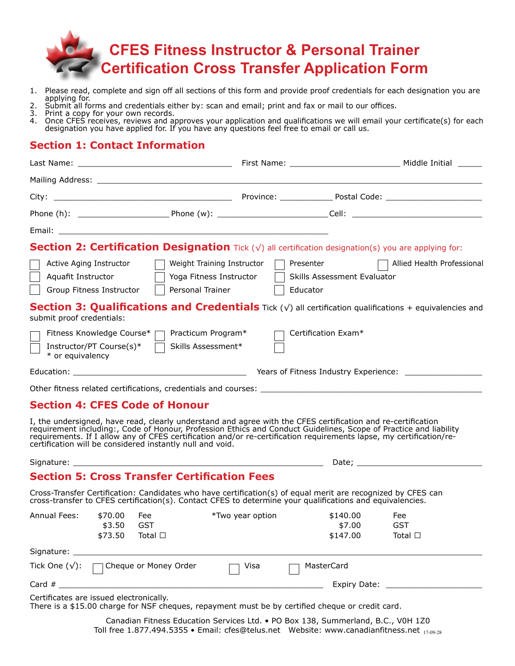

- 1. Please read, complete and sign off all sections of this form and provide proof credentials for each designation you are applying for.
- 2. Submit all forms and credentials either by: scan and email; print and fax or mail to our offices.
- 3. Print a copy for your own records.
- 4. Once CFES receives, reviews and approves your application and qualifications we will email your certificate(s) for each designation you have applied for. If you have any questions feel free to email or call us.

# **Section 1: Contact Information**

| <b>Section 2: Certification Designation</b> Tick $(\sqrt{})$ all certification designation(s) you are applying for:                                                                                                                                                                                                                                                                                                   |                                                                               |                                                      |                            |  |
|-----------------------------------------------------------------------------------------------------------------------------------------------------------------------------------------------------------------------------------------------------------------------------------------------------------------------------------------------------------------------------------------------------------------------|-------------------------------------------------------------------------------|------------------------------------------------------|----------------------------|--|
| Active Aging Instructor<br>Aquafit Instructor<br>Group Fitness Instructor                                                                                                                                                                                                                                                                                                                                             | Weight Training Instructor<br>Yoga Fitness Instructor    <br>Personal Trainer | Presenter<br>Skills Assessment Evaluator<br>Educator | Allied Health Professional |  |
| <b>Section 3: Qualifications and Credentials</b> Tick $(\sqrt{ } )$ all certification qualifications + equivalencies and<br>submit proof credentials:                                                                                                                                                                                                                                                                 |                                                                               |                                                      |                            |  |
| Fitness Knowledge Course* □ Practicum Program*<br>Instructor/PT Course(s)* □ Skills Assessment*<br>* or equivalency                                                                                                                                                                                                                                                                                                   |                                                                               | Certification Exam*                                  |                            |  |
|                                                                                                                                                                                                                                                                                                                                                                                                                       |                                                                               |                                                      |                            |  |
|                                                                                                                                                                                                                                                                                                                                                                                                                       |                                                                               |                                                      |                            |  |
| <b>Section 4: CFES Code of Honour</b>                                                                                                                                                                                                                                                                                                                                                                                 |                                                                               |                                                      |                            |  |
| I, the undersigned, have read, clearly understand and agree with the CFES certification and re-certification<br>requirement including:, Code of Honour, Profession Ethics and Conduct Guidelines, Scope of Practice and liability<br>requirements. If I allow any of CFES certification and/or re-certification requirements lapse, my certification/re-<br>certification will be considered instantly null and void. |                                                                               |                                                      |                            |  |
|                                                                                                                                                                                                                                                                                                                                                                                                                       |                                                                               |                                                      |                            |  |
| <b>Section 5: Cross Transfer Certification Fees</b>                                                                                                                                                                                                                                                                                                                                                                   |                                                                               |                                                      |                            |  |
| Cross-Transfer Certification: Candidates who have certification(s) of equal merit are recognized by CFES can<br>cross-transfer to CFES certification(s). Contact CFES to determine your qualifications and equivalencies.                                                                                                                                                                                             |                                                                               |                                                      |                            |  |
| $\Lambda$ nnual Eoos: $\star$ 70.00 Eoo $\star$ Two voar option $\star$ 140.00 Eoo Eoo                                                                                                                                                                                                                                                                                                                                |                                                                               |                                                      |                            |  |

| Annual Fees:           | \$70.00<br>\$3.50<br>\$73.50 | Fee<br>GST<br>Total $\square$ | *Two year option | \$140.00<br>\$7.00<br>\$147.00 | Fee<br>GST<br>Total $\square$ |
|------------------------|------------------------------|-------------------------------|------------------|--------------------------------|-------------------------------|
| Signature:             |                              |                               |                  |                                |                               |
| Tick One $(\sqrt{})$ : |                              | □ Cheque or Money Order       | Visa             | MasterCard                     |                               |
| Card $#$               |                              |                               |                  | Expiry Date:                   |                               |

Certificates are issued electronically.

There is a \$15.00 charge for NSF cheques, repayment must be by certified cheque or credit card.

Canadian Fitness Education Services Ltd. • PO Box 138, Summerland, B.C., V0H 1Z0 Toll free 1.877.494.5355 • Email: cfes@telus.net Website: www.canadianfitness.net  $_{17.09.28}$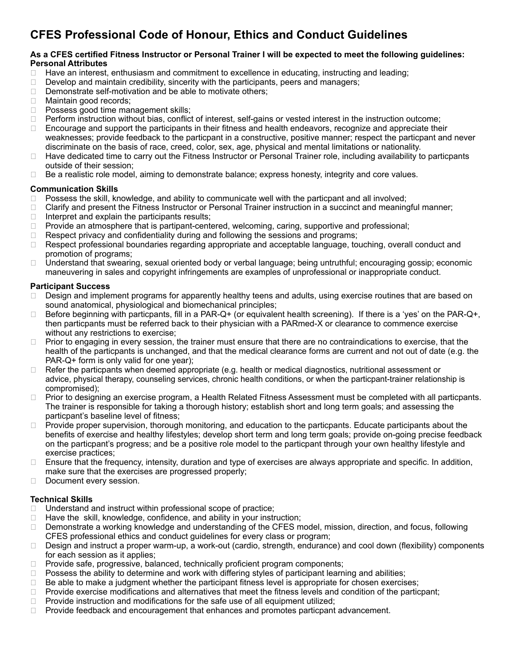# **CFES Professional Code of Honour, Ethics and Conduct Guidelines**

### **As a CFES certified Fitness Instructor or Personal Trainer I will be expected to meet the following guidelines: Personal Attributes**

- ❑ Have an interest, enthusiasm and commitment to excellence in educating, instructing and leading;
- □ Develop and maintain credibility, sincerity with the participants, peers and managers;<br>□ Demonstrate self-motivation and be able to motivate others:
- Demonstrate self-motivation and be able to motivate others;
- □ Maintain good records;<br>□ Possess good time mai
- Possess good time management skills;
- ❑ Perform instruction without bias, conflict of interest, self-gains or vested interest in the instruction outcome;
- ❑ Encourage and support the participants in their fitness and health endeavors, recognize and appreciate their weaknesses; provide feedback to the particpant in a constructive, positive manner; respect the particpant and never discriminate on the basis of race, creed, color, sex, age, physical and mental limitations or nationality.
- ❑ Have dedicated time to carry out the Fitness Instructor or Personal Trainer role, including availability to particpants outside of their session;
- ❑ Be a realistic role model, aiming to demonstrate balance; express honesty, integrity and core values.

### **Communication Skills**

- 
- □ Possess the skill, knowledge, and ability to communicate well with the particpant and all involved;<br>□ Clarify and present the Fitness Instructor or Personal Trainer instruction in a succinct and meaning □ Clarify and present the Fitness Instructor or Personal Trainer instruction in a succinct and meaningful manner;<br>□ Interpret and explain the participants results;
- Interpret and explain the participants results;
- ❑ Provide an atmosphere that is partipant-centered, welcoming, caring, supportive and professional;
- ❑ Respect privacy and confidentiality during and following the sessions and programs;
- ❑ Respect professional boundaries regarding appropriate and acceptable language, touching, overall conduct and promotion of programs;
- ❑ Understand that swearing, sexual oriented body or verbal language; being untruthful; encouraging gossip; economic maneuvering in sales and copyright infringements are examples of unprofessional or inappropriate conduct.

### **Participant Success**

- □ Design and implement programs for apparently healthy teens and adults, using exercise routines that are based on sound anatomical, physiological and biomechanical principles;
- ❑ Before beginning with particpants, fill in a PAR-Q+ (or equivalent health screening). If there is a 'yes' on the PAR-Q+, then particpants must be referred back to their physician with a PARmed-X or clearance to commence exercise without any restrictions to exercise;
- □ Prior to engaging in every session, the trainer must ensure that there are no contraindications to exercise, that the health of the particpants is unchanged, and that the medical clearance forms are current and not out of date (e.g. the PAR-Q+ form is only valid for one year);
- ❑ Refer the particpants when deemed appropriate (e.g. health or medical diagnostics, nutritional assessment or advice, physical therapy, counseling services, chronic health conditions, or when the particpant-trainer relationship is compromised);
- ❑ Prior to designing an exercise program, a Health Related Fitness Assessment must be completed with all particpants. The trainer is responsible for taking a thorough history; establish short and long term goals; and assessing the particpant's baseline level of fitness;
- □ Provide proper supervision, thorough monitoring, and education to the particpants. Educate participants about the benefits of exercise and healthy lifestyles; develop short term and long term goals; provide on-going precise feedback on the particpant's progress; and be a positive role model to the particpant through your own healthy lifestyle and exercise practices;
- ❑ Ensure that the frequency, intensity, duration and type of exercises are always appropriate and specific. In addition, make sure that the exercises are progressed properly;
- □ Document every session.

## **Technical Skills**

- ❑ Understand and instruct within professional scope of practice;
- □ Have the skill, knowledge, confidence, and ability in your instruction;
- □ Demonstrate a working knowledge and understanding of the CFES model, mission, direction, and focus, following CFES professional ethics and conduct guidelines for every class or program;
- ❑ Design and instruct a proper warm-up, a work-out (cardio, strength, endurance) and cool down (flexibility) components for each session as it applies;
- ❑ Provide safe, progressive, balanced, technically proficient program components;
- □ Possess the ability to determine and work with differing styles of participant learning and abilities;
- ❑ Be able to make a judgment whether the participant fitness level is appropriate for chosen exercises;
- □ Provide exercise modifications and alternatives that meet the fitness levels and condition of the particpant;
- ❑ Provide instruction and modifications for the safe use of all equipment utilized;
- □ Provide feedback and encouragement that enhances and promotes particpant advancement.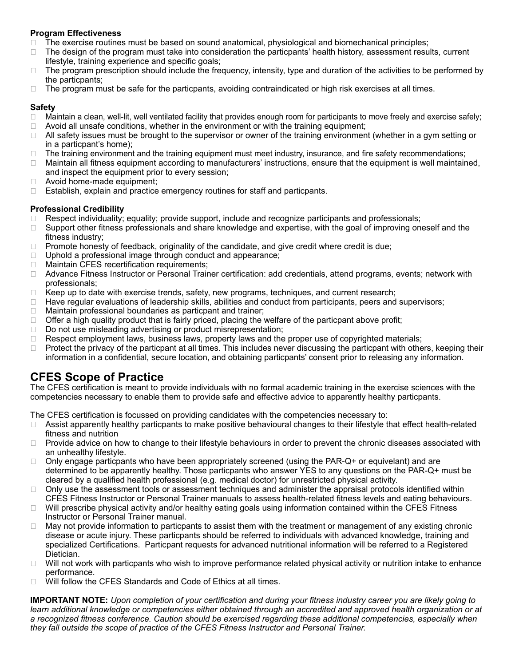## **Program Effectiveness**

- ❑ The exercise routines must be based on sound anatomical, physiological and biomechanical principles;
- ❑ The design of the program must take into consideration the particpants' health history, assessment results, current lifestyle, training experience and specific goals;
- ❑ The program prescription should include the frequency, intensity, type and duration of the activities to be performed by the particpants;
- ❑ The program must be safe for the particpants, avoiding contraindicated or high risk exercises at all times.

## **Safety**

- ❑ Maintain a clean, well-lit, well ventilated facility that provides enough room for participants to move freely and exercise safely;
- $\Box$  Avoid all unsafe conditions, whether in the environment or with the training equipment;
- ❑ All safety issues must be brought to the supervisor or owner of the training environment (whether in a gym setting or in a particpant's home);
- ❑ The training environment and the training equipment must meet industry, insurance, and fire safety recommendations;
- ❑ Maintain all fitness equipment according to manufacturers' instructions, ensure that the equipment is well maintained, and inspect the equipment prior to every session;
- □ Avoid home-made equipment;
- ❑ Establish, explain and practice emergency routines for staff and particpants.

## **Professional Credibility**

- ❑ Respect individuality; equality; provide support, include and recognize participants and professionals;
- □ Support other fitness professionals and share knowledge and expertise, with the goal of improving oneself and the fitness industry;
- □ Promote honesty of feedback, originality of the candidate, and give credit where credit is due;
- ❑ Uphold a professional image through conduct and appearance;
- ❑ Maintain CFES recertification requirements;
- □ Advance Fitness Instructor or Personal Trainer certification: add credentials, attend programs, events; network with professionals;
- ❑ Keep up to date with exercise trends, safety, new programs, techniques, and current research;
- ❑ Have regular evaluations of leadership skills, abilities and conduct from participants, peers and supervisors;
- ❑ Maintain professional boundaries as particpant and trainer;
- □ Offer a high quality product that is fairly priced, placing the welfare of the particpant above profit;
- ❑ Do not use misleading advertising or product misrepresentation;
- ❑ Respect employment laws, business laws, property laws and the proper use of copyrighted materials;
- □ Protect the privacy of the particpant at all times. This includes never discussing the particpant with others, keeping their information in a confidential, secure location, and obtaining particpants' consent prior to releasing any information.

# **CFES Scope of Practice**

The CFES certification is meant to provide individuals with no formal academic training in the exercise sciences with the competencies necessary to enable them to provide safe and effective advice to apparently healthy particpants.

The CFES certification is focussed on providing candidates with the competencies necessary to:

- ❑ Assist apparently healthy particpants to make positive behavioural changes to their lifestyle that effect health-related fitness and nutrition
- □ Provide advice on how to change to their lifestyle behaviours in order to prevent the chronic diseases associated with an unhealthy lifestyle.
- $\Box$  Only engage particpants who have been appropriately screened (using the PAR-Q+ or equivelant) and are determined to be apparently healthy. Those particpants who answer YES to any questions on the PAR-Q+ must be cleared by a qualified health professional (e.g. medical doctor) for unrestricted physical activity.
- □ Only use the assessment tools or assessment techniques and administer the appraisal protocols identified within CFES Fitness Instructor or Personal Trainer manuals to assess health-related fitness levels and eating behaviours.
- ❑ Will prescribe physical activity and/or healthy eating goals using information contained within the CFES Fitness Instructor or Personal Trainer manual.
- ❑ May not provide information to particpants to assist them with the treatment or management of any existing chronic disease or acute injury. These particpants should be referred to individuals with advanced knowledge, training and specialized Certifications. Particpant requests for advanced nutritional information will be referred to a Registered Dietician.
- ❑ Will not work with particpants who wish to improve performance related physical activity or nutrition intake to enhance performance.
- ❑ Will follow the CFES Standards and Code of Ethics at all times.

**IMPORTANT NOTE:** *Upon completion of your certification and during your fitness industry career you are likely going to learn additional knowledge or competencies either obtained through an accredited and approved health organization or at a recognized fitness conference. Caution should be exercised regarding these additional competencies, especially when they fall outside the scope of practice of the CFES Fitness Instructor and Personal Trainer.*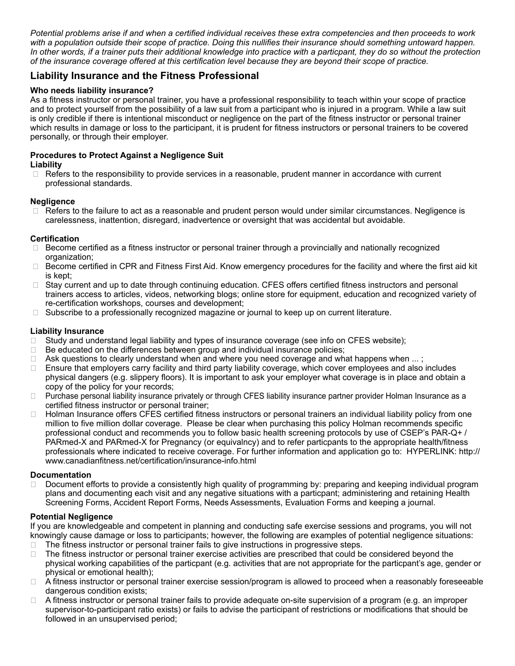*Potential problems arise if and when a certified individual receives these extra competencies and then proceeds to work*  with a population outside their scope of practice. Doing this nullifies their insurance should something untoward happen. *In other words, if a trainer puts their additional knowledge into practice with a particpant, they do so without the protection of the insurance coverage offered at this certification level because they are beyond their scope of practice.*

## **Liability Insurance and the Fitness Professional**

## **Who needs liability insurance?**

As a fitness instructor or personal trainer, you have a professional responsibility to teach within your scope of practice and to protect yourself from the possibility of a law suit from a participant who is injured in a program. While a law suit is only credible if there is intentional misconduct or negligence on the part of the fitness instructor or personal trainer which results in damage or loss to the participant, it is prudent for fitness instructors or personal trainers to be covered personally, or through their employer.

# **Procedures to Protect Against a Negligence Suit**

## **Liability**

❑ Refers to the responsibility to provide services in a reasonable, prudent manner in accordance with current professional standards.

## **Negligence**

□ Refers to the failure to act as a reasonable and prudent person would under similar circumstances. Negligence is carelessness, inattention, disregard, inadvertence or oversight that was accidental but avoidable.

## **Certification**

- ❑ Become certified as a fitness instructor or personal trainer through a provincially and nationally recognized organization;
- ❑ Become certified in CPR and Fitness First Aid. Know emergency procedures for the facility and where the first aid kit is kept;
- ❑ Stay current and up to date through continuing education. CFES offers certified fitness instructors and personal trainers access to articles, videos, networking blogs; online store for equipment, education and recognized variety of re-certification workshops, courses and development;
- □ Subscribe to a professionally recognized magazine or journal to keep up on current literature.

## **Liability Insurance**

- ❑ Study and understand legal liability and types of insurance coverage (see info on CFES website);
- ❑ Be educated on the differences between group and individual insurance policies;
- ❑ Ask questions to clearly understand when and where you need coverage and what happens when ... ;
- ❑ Ensure that employers carry facility and third party liability coverage, which cover employees and also includes physical dangers (e.g. slippery floors). It is important to ask your employer what coverage is in place and obtain a copy of the policy for your records;
- □ Purchase personal liability insurance privately or through CFES liability insurance partner provider Holman Insurance as a certified fitness instructor or personal trainer;
- □ Holman Insurance offers CFES certified fitness instructors or personal trainers an individual liability policy from one million to five million dollar coverage. Please be clear when purchasing this policy Holman recommends specific professional conduct and recommends you to follow basic health screening protocols by use of CSEP's PAR-Q+ / PARmed-X and PARmed-X for Pregnancy (or equivalncy) and to refer particpants to the appropriate health/fitness professionals where indicated to receive coverage. For further information and application go to: HYPERLINK: http:// www.canadianfitness.net/certification/insurance-info.html

## **Documentation**

❑ Document efforts to provide a consistently high quality of programming by: preparing and keeping individual program plans and documenting each visit and any negative situations with a particpant; administering and retaining Health Screening Forms, Accident Report Forms, Needs Assessments, Evaluation Forms and keeping a journal.

## **Potential Negligence**

If you are knowledgeable and competent in planning and conducting safe exercise sessions and programs, you will not knowingly cause damage or loss to participants; however, the following are examples of potential negligence situations: ❑ The fitness instructor or personal trainer fails to give instructions in progressive steps.

- ❑ The fitness instructor or personal trainer exercise activities are prescribed that could be considered beyond the physical working capabilities of the particpant (e.g. activities that are not appropriate for the particpant's age, gender or physical or emotional health);
- ❑ A fitness instructor or personal trainer exercise session/program is allowed to proceed when a reasonably foreseeable dangerous condition exists;
- ❑ A fitness instructor or personal trainer fails to provide adequate on-site supervision of a program (e.g. an improper supervisor-to-participant ratio exists) or fails to advise the participant of restrictions or modifications that should be followed in an unsupervised period;